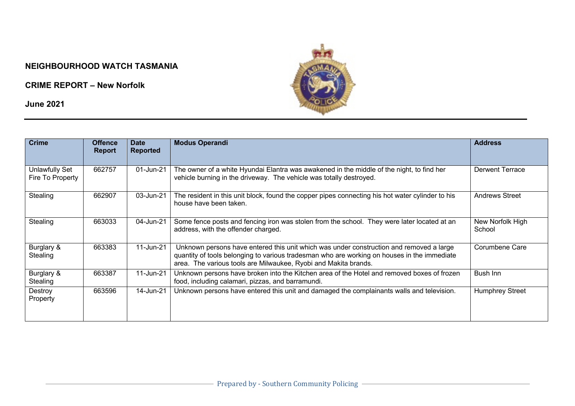## **NEIGHBOURHOOD WATCH TASMANIA**

**CRIME REPORT – New Norfolk**

**June 2021**



| <b>Crime</b>                       | <b>Offence</b><br><b>Report</b> | <b>Date</b><br><b>Reported</b> | <b>Modus Operandi</b>                                                                                                                                                                                                                                     | <b>Address</b>             |
|------------------------------------|---------------------------------|--------------------------------|-----------------------------------------------------------------------------------------------------------------------------------------------------------------------------------------------------------------------------------------------------------|----------------------------|
| Unlawfully Set<br>Fire To Property | 662757                          | 01-Jun-21                      | The owner of a white Hyundai Elantra was awakened in the middle of the night, to find her<br>vehicle burning in the driveway. The vehicle was totally destroyed.                                                                                          | <b>Derwent Terrace</b>     |
| Stealing                           | 662907                          | 03-Jun-21                      | The resident in this unit block, found the copper pipes connecting his hot water cylinder to his<br>house have been taken.                                                                                                                                | <b>Andrews Street</b>      |
| Stealing                           | 663033                          | 04-Jun-21                      | Some fence posts and fencing iron was stolen from the school. They were later located at an<br>address, with the offender charged.                                                                                                                        | New Norfolk High<br>School |
| Burglary &<br>Stealing             | 663383                          | 11-Jun-21                      | Unknown persons have entered this unit which was under construction and removed a large<br>quantity of tools belonging to various tradesman who are working on houses in the immediate<br>area. The various tools are Milwaukee, Ryobi and Makita brands. | Corumbene Care             |
| Burglary &<br>Stealing             | 663387                          | 11-Jun-21                      | Unknown persons have broken into the Kitchen area of the Hotel and removed boxes of frozen<br>food, including calamari, pizzas, and barramundi.                                                                                                           | Bush Inn                   |
| Destroy<br>Property                | 663596                          | 14-Jun-21                      | Unknown persons have entered this unit and damaged the complainants walls and television.                                                                                                                                                                 | <b>Humphrey Street</b>     |